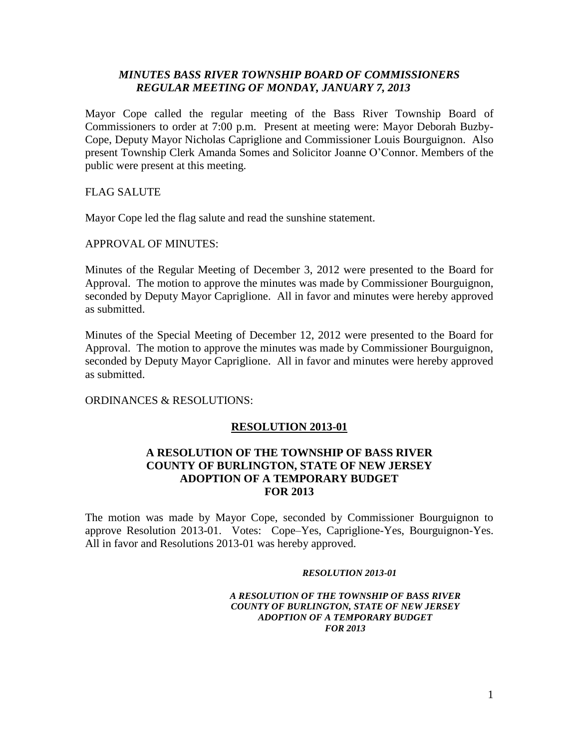# *MINUTES BASS RIVER TOWNSHIP BOARD OF COMMISSIONERS REGULAR MEETING OF MONDAY, JANUARY 7, 2013*

Mayor Cope called the regular meeting of the Bass River Township Board of Commissioners to order at 7:00 p.m. Present at meeting were: Mayor Deborah Buzby-Cope, Deputy Mayor Nicholas Capriglione and Commissioner Louis Bourguignon. Also present Township Clerk Amanda Somes and Solicitor Joanne O'Connor. Members of the public were present at this meeting.

FLAG SALUTE

Mayor Cope led the flag salute and read the sunshine statement.

APPROVAL OF MINUTES:

Minutes of the Regular Meeting of December 3, 2012 were presented to the Board for Approval. The motion to approve the minutes was made by Commissioner Bourguignon, seconded by Deputy Mayor Capriglione. All in favor and minutes were hereby approved as submitted.

Minutes of the Special Meeting of December 12, 2012 were presented to the Board for Approval. The motion to approve the minutes was made by Commissioner Bourguignon, seconded by Deputy Mayor Capriglione. All in favor and minutes were hereby approved as submitted.

ORDINANCES & RESOLUTIONS:

# **RESOLUTION 2013-01**

# **A RESOLUTION OF THE TOWNSHIP OF BASS RIVER COUNTY OF BURLINGTON, STATE OF NEW JERSEY ADOPTION OF A TEMPORARY BUDGET FOR 2013**

The motion was made by Mayor Cope, seconded by Commissioner Bourguignon to approve Resolution 2013-01. Votes: Cope–Yes, Capriglione-Yes, Bourguignon-Yes. All in favor and Resolutions 2013-01 was hereby approved.

### *RESOLUTION 2013-01*

### *A RESOLUTION OF THE TOWNSHIP OF BASS RIVER COUNTY OF BURLINGTON, STATE OF NEW JERSEY ADOPTION OF A TEMPORARY BUDGET FOR 2013*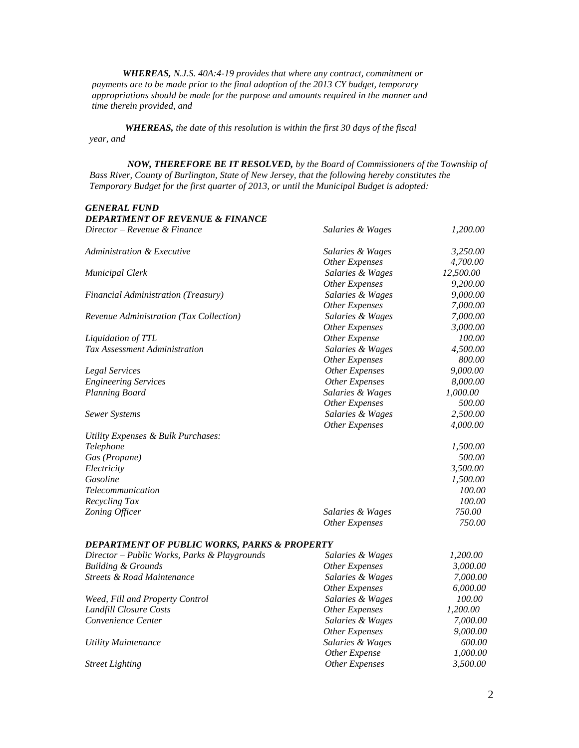*WHEREAS, N.J.S. 40A:4-19 provides that where any contract, commitment or payments are to be made prior to the final adoption of the 2013 CY budget, temporary appropriations should be made for the purpose and amounts required in the manner and time therein provided, and*

 *WHEREAS, the date of this resolution is within the first 30 days of the fiscal year, and*

 *NOW, THEREFORE BE IT RESOLVED, by the Board of Commissioners of the Township of Bass River, County of Burlington, State of New Jersey, that the following hereby constitutes the Temporary Budget for the first quarter of 2013, or until the Municipal Budget is adopted:*

#### *GENERAL FUND*

| <b>DEPARTMENT OF REVENUE &amp; FINANCE</b>             |                       |           |
|--------------------------------------------------------|-----------------------|-----------|
| Director - Revenue & Finance                           | Salaries & Wages      | 1,200.00  |
| <b>Administration &amp; Executive</b>                  | Salaries & Wages      | 3,250.00  |
|                                                        | Other Expenses        | 4,700.00  |
| <b>Municipal Clerk</b>                                 | Salaries & Wages      | 12,500.00 |
|                                                        | <b>Other Expenses</b> | 9,200.00  |
| <b>Financial Administration (Treasury)</b>             | Salaries & Wages      | 9,000.00  |
|                                                        | <b>Other Expenses</b> | 7,000.00  |
| Revenue Administration (Tax Collection)                | Salaries & Wages      | 7,000.00  |
|                                                        | <b>Other Expenses</b> | 3,000.00  |
| Liquidation of TTL                                     | Other Expense         | 100.00    |
| Tax Assessment Administration                          | Salaries & Wages      | 4,500.00  |
|                                                        | <b>Other Expenses</b> | 800.00    |
| Legal Services                                         | <b>Other Expenses</b> | 9,000.00  |
| <b>Engineering Services</b>                            | <b>Other Expenses</b> | 8,000.00  |
| Planning Board                                         | Salaries & Wages      | 1,000.00  |
|                                                        | <b>Other Expenses</b> | 500.00    |
| <b>Sewer Systems</b>                                   | Salaries & Wages      | 2,500.00  |
|                                                        | Other Expenses        | 4,000.00  |
| Utility Expenses & Bulk Purchases:                     |                       |           |
| Telephone                                              |                       | 1,500.00  |
| Gas (Propane)                                          |                       | 500.00    |
| Electricity                                            |                       | 3,500.00  |
| Gasoline                                               |                       | 1,500.00  |
| <b>Telecommunication</b>                               |                       | 100.00    |
| Recycling Tax                                          |                       | 100.00    |
| Zoning Officer                                         | Salaries & Wages      | 750.00    |
|                                                        | <b>Other Expenses</b> | 750.00    |
| <b>DEPARTMENT OF PURLIC WORKS PARKS &amp; PROPERTY</b> |                       |           |

| ры литвить от торые поил», глипь <b>«</b> глот витт |                  |          |
|-----------------------------------------------------|------------------|----------|
| Director – Public Works, Parks & Playgrounds        | Salaries & Wages | 1,200.00 |
| <b>Building &amp; Grounds</b>                       | Other Expenses   | 3.000.00 |
| Streets & Road Maintenance                          | Salaries & Wages | 7,000.00 |
|                                                     | Other Expenses   | 6,000.00 |
| Weed, Fill and Property Control                     | Salaries & Wages | 100.00   |
| Landfill Closure Costs                              | Other Expenses   | 1,200.00 |
| Convenience Center                                  | Salaries & Wages | 7,000.00 |
|                                                     | Other Expenses   | 9,000.00 |
| <b>Utility Maintenance</b>                          | Salaries & Wages | 600.00   |
|                                                     | Other Expense    | 1,000.00 |
| <b>Street Lighting</b>                              | Other Expenses   | 3,500.00 |
|                                                     |                  |          |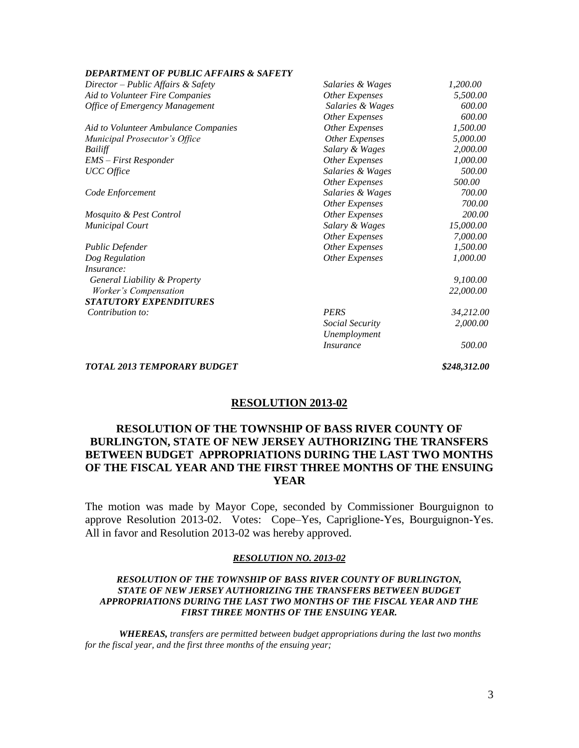### *DEPARTMENT OF PUBLIC AFFAIRS & SAFETY*

| Director – Public Affairs & Safety    | Salaries & Wages        | 1,200.00     |
|---------------------------------------|-------------------------|--------------|
| Aid to Volunteer Fire Companies       | <b>Other Expenses</b>   | 5,500.00     |
| <b>Office of Emergency Management</b> | Salaries & Wages        | 600.00       |
|                                       | <b>Other Expenses</b>   | 600.00       |
| Aid to Volunteer Ambulance Companies  | Other Expenses          | 1,500.00     |
| Municipal Prosecutor's Office         | Other Expenses          | 5,000.00     |
| Bailiff                               | Salary & Wages          | 2,000.00     |
| EMS - First Responder                 | <b>Other Expenses</b>   | 1,000.00     |
| <b>UCC</b> Office                     | Salaries & Wages        | 500.00       |
|                                       | Other Expenses          | 500.00       |
| Code Enforcement                      | Salaries & Wages        | 700.00       |
|                                       | <b>Other Expenses</b>   | 700.00       |
| Mosquito & Pest Control               | <b>Other Expenses</b>   | 200.00       |
| <b>Municipal Court</b>                | Salary & Wages          | 15,000.00    |
|                                       | <b>Other Expenses</b>   | 7,000.00     |
| Public Defender                       | <b>Other Expenses</b>   | 1,500.00     |
| Dog Regulation                        | <b>Other Expenses</b>   | 1,000.00     |
| <i>Insurance:</i>                     |                         |              |
| General Liability & Property          |                         | 9,100.00     |
| Worker's Compensation                 |                         | 22,000.00    |
| <b>STATUTORY EXPENDITURES</b>         |                         |              |
| Contribution to:                      | <b>PERS</b>             | 34,212.00    |
|                                       | Social Security         | 2,000.00     |
|                                       | Unemployment            |              |
|                                       | <i><b>Insurance</b></i> | 500.00       |
| <b>TOTAL 2013 TEMPORARY BUDGET</b>    |                         | \$248,312.00 |

## **RESOLUTION 2013-02**

# **RESOLUTION OF THE TOWNSHIP OF BASS RIVER COUNTY OF BURLINGTON, STATE OF NEW JERSEY AUTHORIZING THE TRANSFERS BETWEEN BUDGET APPROPRIATIONS DURING THE LAST TWO MONTHS OF THE FISCAL YEAR AND THE FIRST THREE MONTHS OF THE ENSUING YEAR**

The motion was made by Mayor Cope, seconded by Commissioner Bourguignon to approve Resolution 2013-02. Votes: Cope–Yes, Capriglione-Yes, Bourguignon-Yes. All in favor and Resolution 2013-02 was hereby approved.

### *RESOLUTION NO. 2013-02*

### *RESOLUTION OF THE TOWNSHIP OF BASS RIVER COUNTY OF BURLINGTON, STATE OF NEW JERSEY AUTHORIZING THE TRANSFERS BETWEEN BUDGET APPROPRIATIONS DURING THE LAST TWO MONTHS OF THE FISCAL YEAR AND THE FIRST THREE MONTHS OF THE ENSUING YEAR.*

*WHEREAS, transfers are permitted between budget appropriations during the last two months for the fiscal year, and the first three months of the ensuing year;*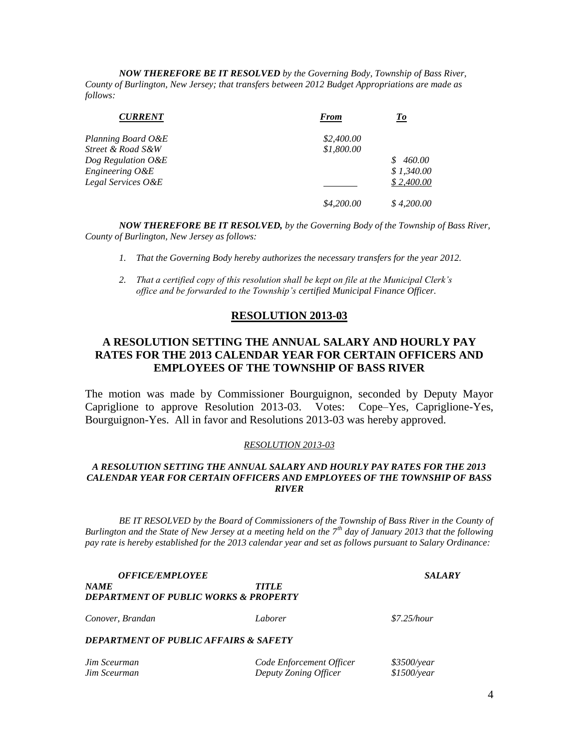*NOW THEREFORE BE IT RESOLVED by the Governing Body, Township of Bass River, County of Burlington, New Jersey; that transfers between 2012 Budget Appropriations are made as follows:*

| <b>CURRENT</b>     | <b>From</b> | To           |
|--------------------|-------------|--------------|
| Planning Board O&E | \$2,400.00  |              |
| Street & Road S&W  | \$1,800.00  |              |
| Dog Regulation O&E |             | 460.00<br>S. |
| Engineering O&E    |             | \$1.340.00   |
| Legal Services O&E |             | \$2,400.00   |
|                    | \$4,200.00  | \$4,200,00   |

*NOW THEREFORE BE IT RESOLVED, by the Governing Body of the Township of Bass River, County of Burlington, New Jersey as follows:*

- *1. That the Governing Body hereby authorizes the necessary transfers for the year 2012.*
- *2. That a certified copy of this resolution shall be kept on file at the Municipal Clerk's office and be forwarded to the Township's certified Municipal Finance Officer.*

## **RESOLUTION 2013-03**

# **A RESOLUTION SETTING THE ANNUAL SALARY AND HOURLY PAY RATES FOR THE 2013 CALENDAR YEAR FOR CERTAIN OFFICERS AND EMPLOYEES OF THE TOWNSHIP OF BASS RIVER**

The motion was made by Commissioner Bourguignon, seconded by Deputy Mayor Capriglione to approve Resolution 2013-03. Votes: Cope–Yes, Capriglione-Yes, Bourguignon-Yes. All in favor and Resolutions 2013-03 was hereby approved.

### *RESOLUTION 2013-03*

## *A RESOLUTION SETTING THE ANNUAL SALARY AND HOURLY PAY RATES FOR THE 2013 CALENDAR YEAR FOR CERTAIN OFFICERS AND EMPLOYEES OF THE TOWNSHIP OF BASS RIVER*

*BE IT RESOLVED by the Board of Commissioners of the Township of Bass River in the County of Burlington and the State of New Jersey at a meeting held on the 7th day of January 2013 that the following pay rate is hereby established for the 2013 calendar year and set as follows pursuant to Salary Ordinance:*

| <i><b>OFFICE/EMPLOYEE</b></i>                    |                          | <i><b>SALARY</b></i> |  |
|--------------------------------------------------|--------------------------|----------------------|--|
| <b>NAME</b>                                      | <b>TITLE</b>             |                      |  |
| DEPARTMENT OF PUBLIC WORKS & PROPERTY            |                          |                      |  |
| Conover, Brandan                                 | Laborer                  | $$7.25$ /hour        |  |
| <b>DEPARTMENT OF PUBLIC AFFAIRS &amp; SAFETY</b> |                          |                      |  |
| Jim Sceurman                                     | Code Enforcement Officer | \$3500/year          |  |

*Jim Sceurman Deputy Zoning Officer \$1500/year*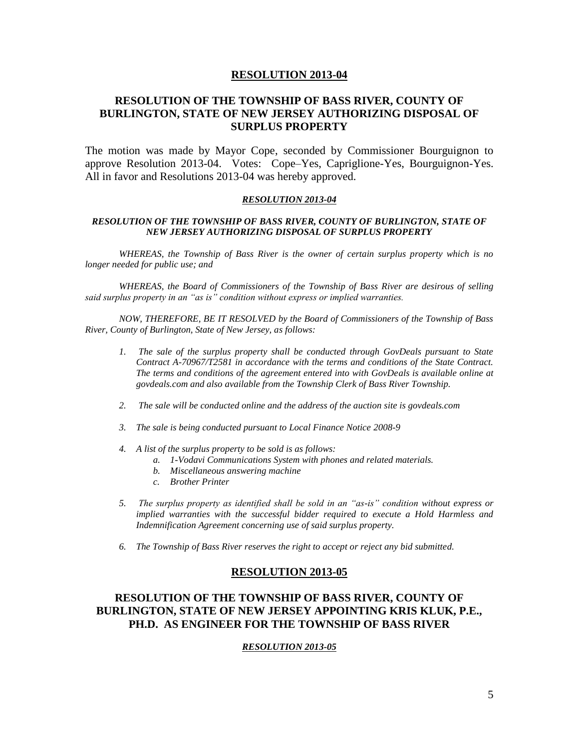## **RESOLUTION OF THE TOWNSHIP OF BASS RIVER, COUNTY OF BURLINGTON, STATE OF NEW JERSEY AUTHORIZING DISPOSAL OF SURPLUS PROPERTY**

The motion was made by Mayor Cope, seconded by Commissioner Bourguignon to approve Resolution 2013-04. Votes: Cope–Yes, Capriglione-Yes, Bourguignon-Yes. All in favor and Resolutions 2013-04 was hereby approved.

#### *RESOLUTION 2013-04*

#### *RESOLUTION OF THE TOWNSHIP OF BASS RIVER, COUNTY OF BURLINGTON, STATE OF NEW JERSEY AUTHORIZING DISPOSAL OF SURPLUS PROPERTY*

*WHEREAS, the Township of Bass River is the owner of certain surplus property which is no longer needed for public use; and*

*WHEREAS, the Board of Commissioners of the Township of Bass River are desirous of selling said surplus property in an "as is" condition without express or implied warranties.*

*NOW, THEREFORE, BE IT RESOLVED by the Board of Commissioners of the Township of Bass River, County of Burlington, State of New Jersey, as follows:*

- *1. The sale of the surplus property shall be conducted through GovDeals pursuant to State Contract A-70967/T2581 in accordance with the terms and conditions of the State Contract. The terms and conditions of the agreement entered into with GovDeals is available online at govdeals.com and also available from the Township Clerk of Bass River Township.*
- *2. The sale will be conducted online and the address of the auction site is govdeals.com*
- *3. The sale is being conducted pursuant to Local Finance Notice 2008-9*
- *4. A list of the surplus property to be sold is as follows:* 
	- *a. 1-Vodavi Communications System with phones and related materials.*
	- *b. Miscellaneous answering machine*
	- *c. Brother Printer*
- *5. The surplus property as identified shall be sold in an "as-is" condition without express or implied warranties with the successful bidder required to execute a Hold Harmless and Indemnification Agreement concerning use of said surplus property.*
- *6. The Township of Bass River reserves the right to accept or reject any bid submitted.*

#### **RESOLUTION 2013-05**

## **RESOLUTION OF THE TOWNSHIP OF BASS RIVER, COUNTY OF BURLINGTON, STATE OF NEW JERSEY APPOINTING KRIS KLUK, P.E., PH.D. AS ENGINEER FOR THE TOWNSHIP OF BASS RIVER**

#### *RESOLUTION 2013-05*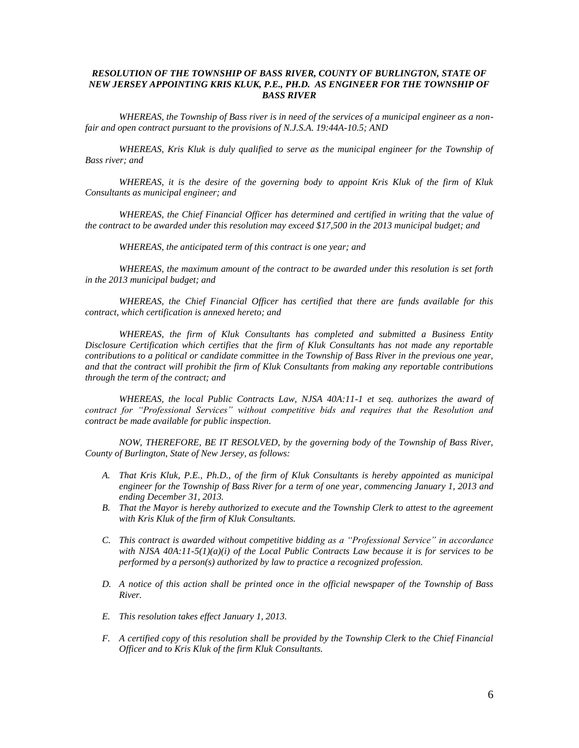### *RESOLUTION OF THE TOWNSHIP OF BASS RIVER, COUNTY OF BURLINGTON, STATE OF NEW JERSEY APPOINTING KRIS KLUK, P.E., PH.D. AS ENGINEER FOR THE TOWNSHIP OF BASS RIVER*

*WHEREAS, the Township of Bass river is in need of the services of a municipal engineer as a nonfair and open contract pursuant to the provisions of N.J.S.A. 19:44A-10.5; AND*

*WHEREAS, Kris Kluk is duly qualified to serve as the municipal engineer for the Township of Bass river; and*

*WHEREAS, it is the desire of the governing body to appoint Kris Kluk of the firm of Kluk Consultants as municipal engineer; and*

*WHEREAS, the Chief Financial Officer has determined and certified in writing that the value of the contract to be awarded under this resolution may exceed \$17,500 in the 2013 municipal budget; and*

*WHEREAS, the anticipated term of this contract is one year; and*

*WHEREAS, the maximum amount of the contract to be awarded under this resolution is set forth in the 2013 municipal budget; and*

*WHEREAS, the Chief Financial Officer has certified that there are funds available for this contract, which certification is annexed hereto; and*

*WHEREAS, the firm of Kluk Consultants has completed and submitted a Business Entity Disclosure Certification which certifies that the firm of Kluk Consultants has not made any reportable contributions to a political or candidate committee in the Township of Bass River in the previous one year, and that the contract will prohibit the firm of Kluk Consultants from making any reportable contributions through the term of the contract; and*

*WHEREAS, the local Public Contracts Law, NJSA 40A:11-1 et seq. authorizes the award of contract for "Professional Services" without competitive bids and requires that the Resolution and contract be made available for public inspection.*

*NOW, THEREFORE, BE IT RESOLVED, by the governing body of the Township of Bass River, County of Burlington, State of New Jersey, as follows:*

- *A. That Kris Kluk, P.E., Ph.D., of the firm of Kluk Consultants is hereby appointed as municipal engineer for the Township of Bass River for a term of one year, commencing January 1, 2013 and ending December 31, 2013.*
- *B. That the Mayor is hereby authorized to execute and the Township Clerk to attest to the agreement with Kris Kluk of the firm of Kluk Consultants.*
- *C. This contract is awarded without competitive bidding as a "Professional Service" in accordance with NJSA 40A:11-5(1)(a)(i) of the Local Public Contracts Law because it is for services to be performed by a person(s) authorized by law to practice a recognized profession.*
- *D. A notice of this action shall be printed once in the official newspaper of the Township of Bass River.*
- *E. This resolution takes effect January 1, 2013.*
- *F. A certified copy of this resolution shall be provided by the Township Clerk to the Chief Financial Officer and to Kris Kluk of the firm Kluk Consultants.*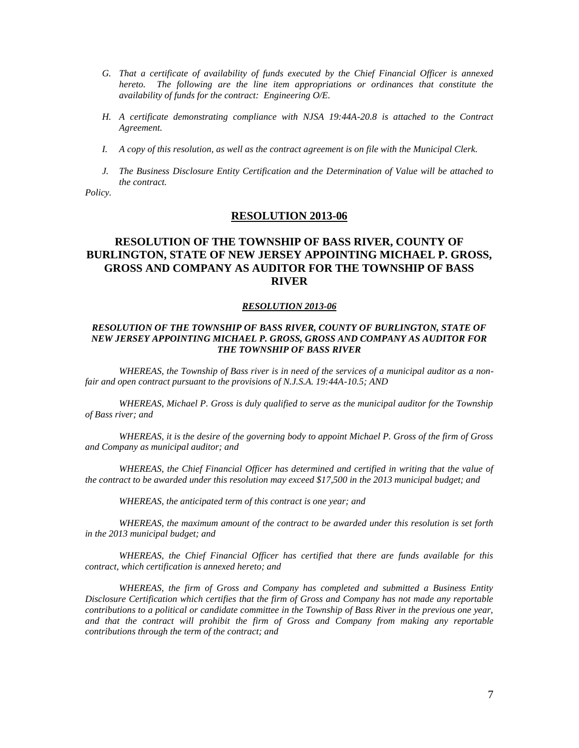- *G. That a certificate of availability of funds executed by the Chief Financial Officer is annexed hereto. The following are the line item appropriations or ordinances that constitute the availability of funds for the contract: Engineering O/E.*
- *H. A certificate demonstrating compliance with NJSA 19:44A-20.8 is attached to the Contract Agreement.*
- *I. A copy of this resolution, as well as the contract agreement is on file with the Municipal Clerk.*
- *J. The Business Disclosure Entity Certification and the Determination of Value will be attached to the contract.*

*Policy.*

### **RESOLUTION 2013-06**

# **RESOLUTION OF THE TOWNSHIP OF BASS RIVER, COUNTY OF BURLINGTON, STATE OF NEW JERSEY APPOINTING MICHAEL P. GROSS, GROSS AND COMPANY AS AUDITOR FOR THE TOWNSHIP OF BASS RIVER**

#### *RESOLUTION 2013-06*

### *RESOLUTION OF THE TOWNSHIP OF BASS RIVER, COUNTY OF BURLINGTON, STATE OF NEW JERSEY APPOINTING MICHAEL P. GROSS, GROSS AND COMPANY AS AUDITOR FOR THE TOWNSHIP OF BASS RIVER*

*WHEREAS, the Township of Bass river is in need of the services of a municipal auditor as a nonfair and open contract pursuant to the provisions of N.J.S.A. 19:44A-10.5; AND*

*WHEREAS, Michael P. Gross is duly qualified to serve as the municipal auditor for the Township of Bass river; and*

*WHEREAS, it is the desire of the governing body to appoint Michael P. Gross of the firm of Gross and Company as municipal auditor; and*

*WHEREAS, the Chief Financial Officer has determined and certified in writing that the value of the contract to be awarded under this resolution may exceed \$17,500 in the 2013 municipal budget; and*

*WHEREAS, the anticipated term of this contract is one year; and*

*WHEREAS, the maximum amount of the contract to be awarded under this resolution is set forth in the 2013 municipal budget; and*

*WHEREAS, the Chief Financial Officer has certified that there are funds available for this contract, which certification is annexed hereto; and*

*WHEREAS, the firm of Gross and Company has completed and submitted a Business Entity Disclosure Certification which certifies that the firm of Gross and Company has not made any reportable contributions to a political or candidate committee in the Township of Bass River in the previous one year, and that the contract will prohibit the firm of Gross and Company from making any reportable contributions through the term of the contract; and*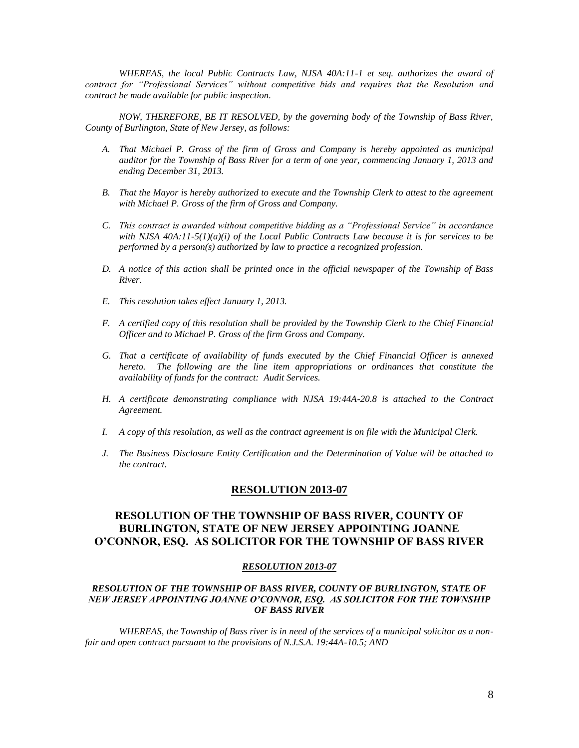*WHEREAS, the local Public Contracts Law, NJSA 40A:11-1 et seq. authorizes the award of contract for "Professional Services" without competitive bids and requires that the Resolution and contract be made available for public inspection.*

*NOW, THEREFORE, BE IT RESOLVED, by the governing body of the Township of Bass River, County of Burlington, State of New Jersey, as follows:*

- *A. That Michael P. Gross of the firm of Gross and Company is hereby appointed as municipal auditor for the Township of Bass River for a term of one year, commencing January 1, 2013 and ending December 31, 2013.*
- *B. That the Mayor is hereby authorized to execute and the Township Clerk to attest to the agreement with Michael P. Gross of the firm of Gross and Company.*
- *C. This contract is awarded without competitive bidding as a "Professional Service" in accordance with NJSA 40A:11-5(1)(a)(i) of the Local Public Contracts Law because it is for services to be performed by a person(s) authorized by law to practice a recognized profession.*
- *D. A notice of this action shall be printed once in the official newspaper of the Township of Bass River.*
- *E. This resolution takes effect January 1, 2013.*
- *F. A certified copy of this resolution shall be provided by the Township Clerk to the Chief Financial Officer and to Michael P. Gross of the firm Gross and Company.*
- *G. That a certificate of availability of funds executed by the Chief Financial Officer is annexed hereto. The following are the line item appropriations or ordinances that constitute the availability of funds for the contract: Audit Services.*
- *H. A certificate demonstrating compliance with NJSA 19:44A-20.8 is attached to the Contract Agreement.*
- *I. A copy of this resolution, as well as the contract agreement is on file with the Municipal Clerk.*
- *J. The Business Disclosure Entity Certification and the Determination of Value will be attached to the contract.*

### **RESOLUTION 2013-07**

# **RESOLUTION OF THE TOWNSHIP OF BASS RIVER, COUNTY OF BURLINGTON, STATE OF NEW JERSEY APPOINTING JOANNE O'CONNOR, ESQ. AS SOLICITOR FOR THE TOWNSHIP OF BASS RIVER**

#### *RESOLUTION 2013-07*

### *RESOLUTION OF THE TOWNSHIP OF BASS RIVER, COUNTY OF BURLINGTON, STATE OF NEW JERSEY APPOINTING JOANNE O'CONNOR, ESQ. AS SOLICITOR FOR THE TOWNSHIP OF BASS RIVER*

*WHEREAS, the Township of Bass river is in need of the services of a municipal solicitor as a nonfair and open contract pursuant to the provisions of N.J.S.A. 19:44A-10.5; AND*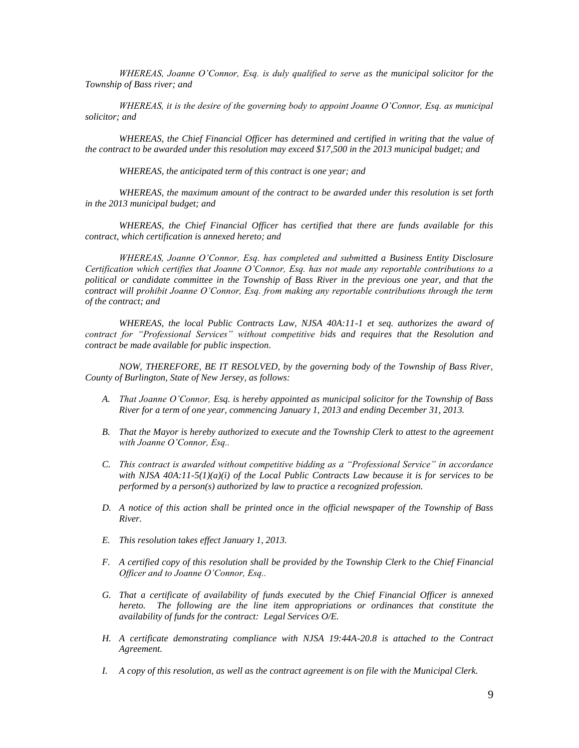*WHEREAS, Joanne O'Connor, Esq. is duly qualified to serve as the municipal solicitor for the Township of Bass river; and*

*WHEREAS, it is the desire of the governing body to appoint Joanne O'Connor, Esq. as municipal solicitor; and*

*WHEREAS, the Chief Financial Officer has determined and certified in writing that the value of the contract to be awarded under this resolution may exceed \$17,500 in the 2013 municipal budget; and*

*WHEREAS, the anticipated term of this contract is one year; and*

*WHEREAS, the maximum amount of the contract to be awarded under this resolution is set forth in the 2013 municipal budget; and*

*WHEREAS, the Chief Financial Officer has certified that there are funds available for this contract, which certification is annexed hereto; and*

*WHEREAS, Joanne O'Connor, Esq. has completed and submitted a Business Entity Disclosure Certification which certifies that Joanne O'Connor, Esq. has not made any reportable contributions to a political or candidate committee in the Township of Bass River in the previous one year, and that the contract will prohibit Joanne O'Connor, Esq. from making any reportable contributions through the term of the contract; and*

*WHEREAS, the local Public Contracts Law, NJSA 40A:11-1 et seq. authorizes the award of contract for "Professional Services" without competitive bids and requires that the Resolution and contract be made available for public inspection.*

*NOW, THEREFORE, BE IT RESOLVED, by the governing body of the Township of Bass River, County of Burlington, State of New Jersey, as follows:*

- *A. That Joanne O'Connor, Esq. is hereby appointed as municipal solicitor for the Township of Bass River for a term of one year, commencing January 1, 2013 and ending December 31, 2013.*
- *B. That the Mayor is hereby authorized to execute and the Township Clerk to attest to the agreement with Joanne O'Connor, Esq..*
- *C. This contract is awarded without competitive bidding as a "Professional Service" in accordance with NJSA 40A:11-5(1)(a)(i) of the Local Public Contracts Law because it is for services to be performed by a person(s) authorized by law to practice a recognized profession.*
- *D. A notice of this action shall be printed once in the official newspaper of the Township of Bass River.*
- *E. This resolution takes effect January 1, 2013.*
- *F. A certified copy of this resolution shall be provided by the Township Clerk to the Chief Financial Officer and to Joanne O'Connor, Esq..*
- *G. That a certificate of availability of funds executed by the Chief Financial Officer is annexed hereto. The following are the line item appropriations or ordinances that constitute the availability of funds for the contract: Legal Services O/E.*
- *H. A certificate demonstrating compliance with NJSA 19:44A-20.8 is attached to the Contract Agreement.*
- *I. A copy of this resolution, as well as the contract agreement is on file with the Municipal Clerk.*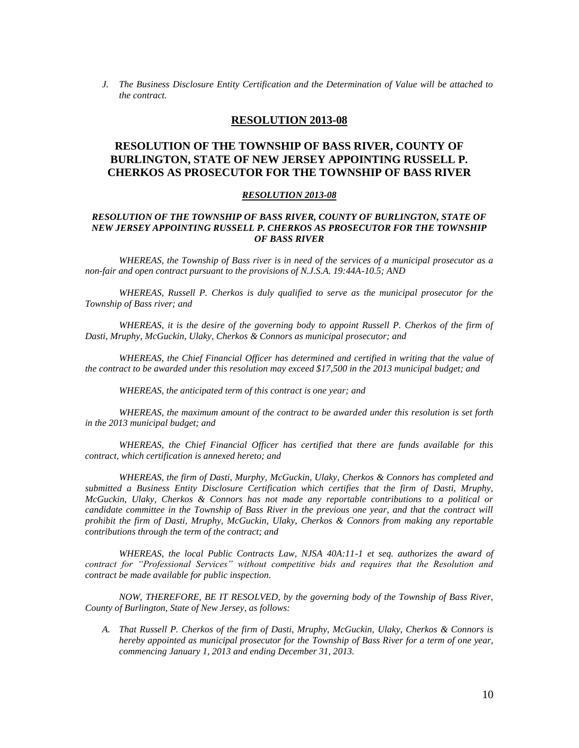*J. The Business Disclosure Entity Certification and the Determination of Value will be attached to the contract.*

### **RESOLUTION 2013-08**

# **RESOLUTION OF THE TOWNSHIP OF BASS RIVER, COUNTY OF BURLINGTON, STATE OF NEW JERSEY APPOINTING RUSSELL P. CHERKOS AS PROSECUTOR FOR THE TOWNSHIP OF BASS RIVER**

#### *RESOLUTION 2013-08*

### *RESOLUTION OF THE TOWNSHIP OF BASS RIVER, COUNTY OF BURLINGTON, STATE OF NEW JERSEY APPOINTING RUSSELL P. CHERKOS AS PROSECUTOR FOR THE TOWNSHIP OF BASS RIVER*

*WHEREAS, the Township of Bass river is in need of the services of a municipal prosecutor as a non-fair and open contract pursuant to the provisions of N.J.S.A. 19:44A-10.5; AND*

*WHEREAS, Russell P. Cherkos is duly qualified to serve as the municipal prosecutor for the Township of Bass river; and*

*WHEREAS, it is the desire of the governing body to appoint Russell P. Cherkos of the firm of Dasti, Mruphy, McGuckin, Ulaky, Cherkos & Connors as municipal prosecutor; and*

*WHEREAS, the Chief Financial Officer has determined and certified in writing that the value of the contract to be awarded under this resolution may exceed \$17,500 in the 2013 municipal budget; and*

*WHEREAS, the anticipated term of this contract is one year; and*

*WHEREAS, the maximum amount of the contract to be awarded under this resolution is set forth in the 2013 municipal budget; and*

*WHEREAS, the Chief Financial Officer has certified that there are funds available for this contract, which certification is annexed hereto; and*

*WHEREAS, the firm of Dasti, Murphy, McGuckin, Ulaky, Cherkos & Connors has completed and submitted a Business Entity Disclosure Certification which certifies that the firm of Dasti, Mruphy, McGuckin, Ulaky, Cherkos & Connors has not made any reportable contributions to a political or candidate committee in the Township of Bass River in the previous one year, and that the contract will prohibit the firm of Dasti, Mruphy, McGuckin, Ulaky, Cherkos & Connors from making any reportable contributions through the term of the contract; and*

*WHEREAS, the local Public Contracts Law, NJSA 40A:11-1 et seq. authorizes the award of contract for "Professional Services" without competitive bids and requires that the Resolution and contract be made available for public inspection.*

*NOW, THEREFORE, BE IT RESOLVED, by the governing body of the Township of Bass River, County of Burlington, State of New Jersey, as follows:*

*A. That Russell P. Cherkos of the firm of Dasti, Mruphy, McGuckin, Ulaky, Cherkos & Connors is hereby appointed as municipal prosecutor for the Township of Bass River for a term of one year, commencing January 1, 2013 and ending December 31, 2013.*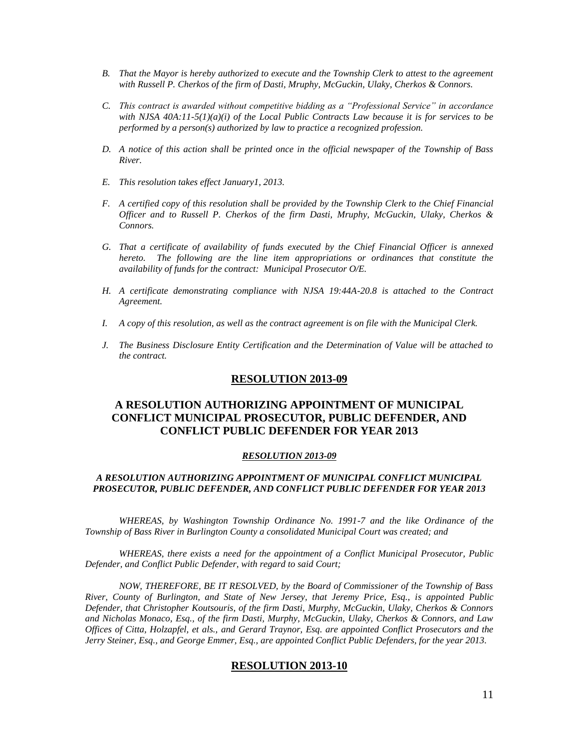- *B. That the Mayor is hereby authorized to execute and the Township Clerk to attest to the agreement with Russell P. Cherkos of the firm of Dasti, Mruphy, McGuckin, Ulaky, Cherkos & Connors.*
- *C. This contract is awarded without competitive bidding as a "Professional Service" in accordance with NJSA 40A:11-5(1)(a)(i) of the Local Public Contracts Law because it is for services to be performed by a person(s) authorized by law to practice a recognized profession.*
- *D. A notice of this action shall be printed once in the official newspaper of the Township of Bass River.*
- *E. This resolution takes effect January1, 2013.*
- *F. A certified copy of this resolution shall be provided by the Township Clerk to the Chief Financial Officer and to Russell P. Cherkos of the firm Dasti, Mruphy, McGuckin, Ulaky, Cherkos & Connors.*
- *G. That a certificate of availability of funds executed by the Chief Financial Officer is annexed hereto. The following are the line item appropriations or ordinances that constitute the availability of funds for the contract: Municipal Prosecutor O/E.*
- *H. A certificate demonstrating compliance with NJSA 19:44A-20.8 is attached to the Contract Agreement.*
- *I. A copy of this resolution, as well as the contract agreement is on file with the Municipal Clerk.*
- *J. The Business Disclosure Entity Certification and the Determination of Value will be attached to the contract.*

# **A RESOLUTION AUTHORIZING APPOINTMENT OF MUNICIPAL CONFLICT MUNICIPAL PROSECUTOR, PUBLIC DEFENDER, AND CONFLICT PUBLIC DEFENDER FOR YEAR 2013**

#### *RESOLUTION 2013-09*

### *A RESOLUTION AUTHORIZING APPOINTMENT OF MUNICIPAL CONFLICT MUNICIPAL PROSECUTOR, PUBLIC DEFENDER, AND CONFLICT PUBLIC DEFENDER FOR YEAR 2013*

*WHEREAS, by Washington Township Ordinance No. 1991-7 and the like Ordinance of the Township of Bass River in Burlington County a consolidated Municipal Court was created; and*

*WHEREAS, there exists a need for the appointment of a Conflict Municipal Prosecutor, Public Defender, and Conflict Public Defender, with regard to said Court;*

*NOW, THEREFORE, BE IT RESOLVED, by the Board of Commissioner of the Township of Bass River, County of Burlington, and State of New Jersey, that Jeremy Price, Esq., is appointed Public Defender, that Christopher Koutsouris, of the firm Dasti, Murphy, McGuckin, Ulaky, Cherkos & Connors and Nicholas Monaco, Esq., of the firm Dasti, Murphy, McGuckin, Ulaky, Cherkos & Connors, and Law Offices of Citta, Holzapfel, et als., and Gerard Traynor, Esq. are appointed Conflict Prosecutors and the Jerry Steiner, Esq., and George Emmer, Esq., are appointed Conflict Public Defenders, for the year 2013.*

### **RESOLUTION 2013-10**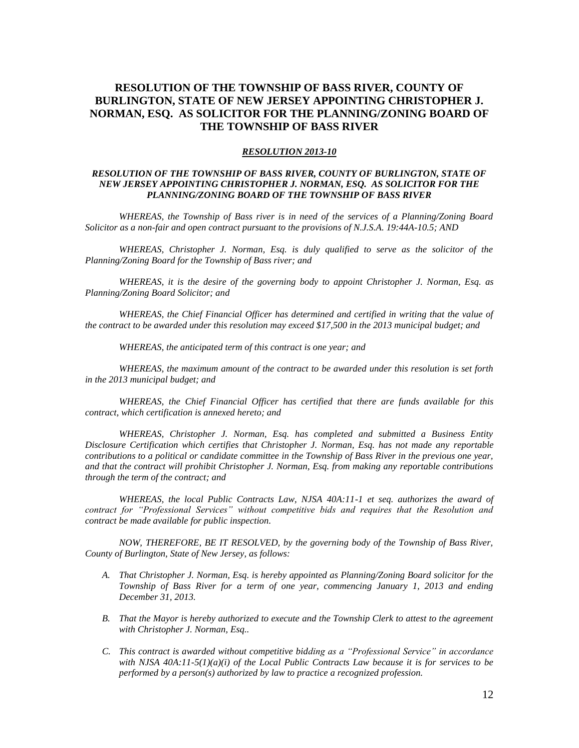# **RESOLUTION OF THE TOWNSHIP OF BASS RIVER, COUNTY OF BURLINGTON, STATE OF NEW JERSEY APPOINTING CHRISTOPHER J. NORMAN, ESQ. AS SOLICITOR FOR THE PLANNING/ZONING BOARD OF THE TOWNSHIP OF BASS RIVER**

#### *RESOLUTION 2013-10*

### *RESOLUTION OF THE TOWNSHIP OF BASS RIVER, COUNTY OF BURLINGTON, STATE OF NEW JERSEY APPOINTING CHRISTOPHER J. NORMAN, ESQ. AS SOLICITOR FOR THE PLANNING/ZONING BOARD OF THE TOWNSHIP OF BASS RIVER*

*WHEREAS, the Township of Bass river is in need of the services of a Planning/Zoning Board Solicitor as a non-fair and open contract pursuant to the provisions of N.J.S.A. 19:44A-10.5; AND*

*WHEREAS, Christopher J. Norman, Esq. is duly qualified to serve as the solicitor of the Planning/Zoning Board for the Township of Bass river; and*

*WHEREAS, it is the desire of the governing body to appoint Christopher J. Norman, Esq. as Planning/Zoning Board Solicitor; and*

*WHEREAS, the Chief Financial Officer has determined and certified in writing that the value of the contract to be awarded under this resolution may exceed \$17,500 in the 2013 municipal budget; and*

*WHEREAS, the anticipated term of this contract is one year; and*

*WHEREAS, the maximum amount of the contract to be awarded under this resolution is set forth in the 2013 municipal budget; and*

*WHEREAS, the Chief Financial Officer has certified that there are funds available for this contract, which certification is annexed hereto; and*

*WHEREAS, Christopher J. Norman, Esq. has completed and submitted a Business Entity Disclosure Certification which certifies that Christopher J. Norman, Esq. has not made any reportable contributions to a political or candidate committee in the Township of Bass River in the previous one year, and that the contract will prohibit Christopher J. Norman, Esq. from making any reportable contributions through the term of the contract; and*

*WHEREAS, the local Public Contracts Law, NJSA 40A:11-1 et seq. authorizes the award of contract for "Professional Services" without competitive bids and requires that the Resolution and contract be made available for public inspection.*

*NOW, THEREFORE, BE IT RESOLVED, by the governing body of the Township of Bass River, County of Burlington, State of New Jersey, as follows:*

- *A. That Christopher J. Norman, Esq. is hereby appointed as Planning/Zoning Board solicitor for the Township of Bass River for a term of one year, commencing January 1, 2013 and ending December 31, 2013.*
- *B. That the Mayor is hereby authorized to execute and the Township Clerk to attest to the agreement with Christopher J. Norman, Esq..*
- *C. This contract is awarded without competitive bidding as a "Professional Service" in accordance with NJSA 40A:11-5(1)(a)(i) of the Local Public Contracts Law because it is for services to be performed by a person(s) authorized by law to practice a recognized profession.*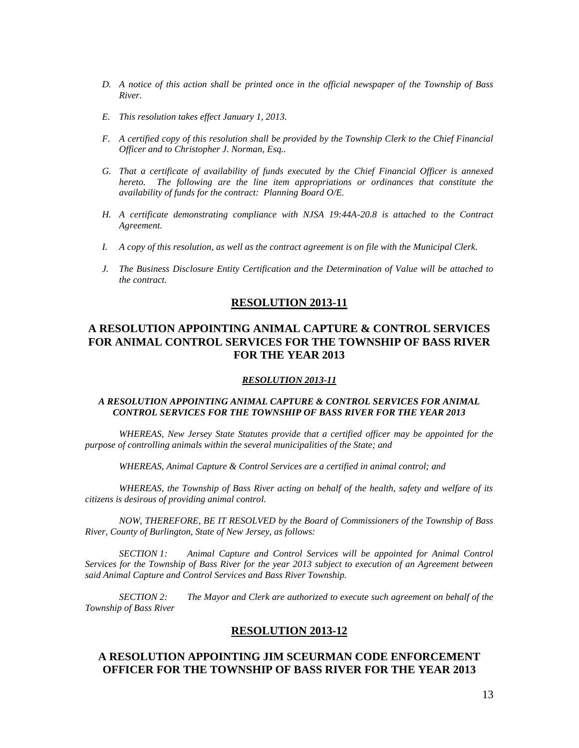- *D. A notice of this action shall be printed once in the official newspaper of the Township of Bass River.*
- *E. This resolution takes effect January 1, 2013.*
- *F. A certified copy of this resolution shall be provided by the Township Clerk to the Chief Financial Officer and to Christopher J. Norman, Esq..*
- *G. That a certificate of availability of funds executed by the Chief Financial Officer is annexed hereto. The following are the line item appropriations or ordinances that constitute the availability of funds for the contract: Planning Board O/E.*
- *H. A certificate demonstrating compliance with NJSA 19:44A-20.8 is attached to the Contract Agreement.*
- *I. A copy of this resolution, as well as the contract agreement is on file with the Municipal Clerk.*
- *J. The Business Disclosure Entity Certification and the Determination of Value will be attached to the contract.*

# **A RESOLUTION APPOINTING ANIMAL CAPTURE & CONTROL SERVICES FOR ANIMAL CONTROL SERVICES FOR THE TOWNSHIP OF BASS RIVER FOR THE YEAR 2013**

### *RESOLUTION 2013-11*

### *A RESOLUTION APPOINTING ANIMAL CAPTURE & CONTROL SERVICES FOR ANIMAL CONTROL SERVICES FOR THE TOWNSHIP OF BASS RIVER FOR THE YEAR 2013*

*WHEREAS, New Jersey State Statutes provide that a certified officer may be appointed for the purpose of controlling animals within the several municipalities of the State; and*

*WHEREAS, Animal Capture & Control Services are a certified in animal control; and*

*WHEREAS, the Township of Bass River acting on behalf of the health, safety and welfare of its citizens is desirous of providing animal control.*

*NOW, THEREFORE, BE IT RESOLVED by the Board of Commissioners of the Township of Bass River, County of Burlington, State of New Jersey, as follows:*

*SECTION 1: Animal Capture and Control Services will be appointed for Animal Control Services for the Township of Bass River for the year 2013 subject to execution of an Agreement between said Animal Capture and Control Services and Bass River Township.*

*SECTION 2: The Mayor and Clerk are authorized to execute such agreement on behalf of the Township of Bass River*

#### **RESOLUTION 2013-12**

## **A RESOLUTION APPOINTING JIM SCEURMAN CODE ENFORCEMENT OFFICER FOR THE TOWNSHIP OF BASS RIVER FOR THE YEAR 2013**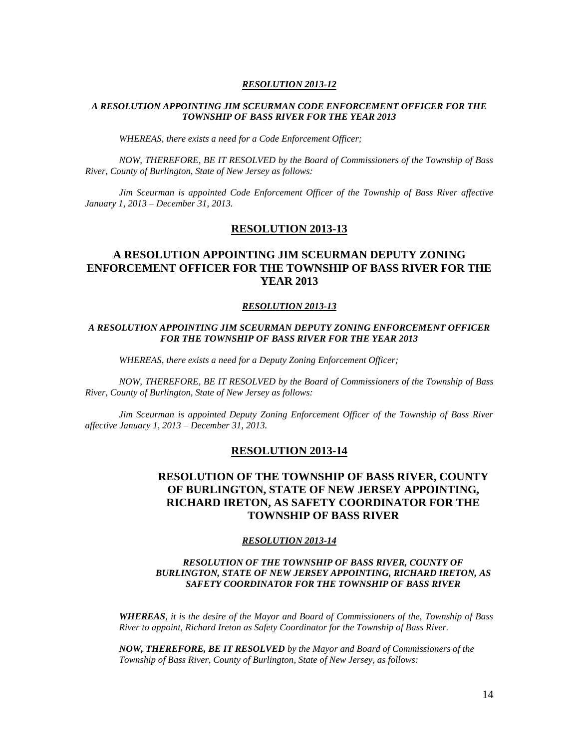### *A RESOLUTION APPOINTING JIM SCEURMAN CODE ENFORCEMENT OFFICER FOR THE TOWNSHIP OF BASS RIVER FOR THE YEAR 2013*

*WHEREAS, there exists a need for a Code Enforcement Officer;*

*NOW, THEREFORE, BE IT RESOLVED by the Board of Commissioners of the Township of Bass River, County of Burlington, State of New Jersey as follows:*

*Jim Sceurman is appointed Code Enforcement Officer of the Township of Bass River affective January 1, 2013 – December 31, 2013.*

### **RESOLUTION 2013-13**

# **A RESOLUTION APPOINTING JIM SCEURMAN DEPUTY ZONING ENFORCEMENT OFFICER FOR THE TOWNSHIP OF BASS RIVER FOR THE YEAR 2013**

#### *RESOLUTION 2013-13*

### *A RESOLUTION APPOINTING JIM SCEURMAN DEPUTY ZONING ENFORCEMENT OFFICER FOR THE TOWNSHIP OF BASS RIVER FOR THE YEAR 2013*

*WHEREAS, there exists a need for a Deputy Zoning Enforcement Officer;*

*NOW, THEREFORE, BE IT RESOLVED by the Board of Commissioners of the Township of Bass River, County of Burlington, State of New Jersey as follows:*

*Jim Sceurman is appointed Deputy Zoning Enforcement Officer of the Township of Bass River affective January 1, 2013 – December 31, 2013.*

#### **RESOLUTION 2013-14**

## **RESOLUTION OF THE TOWNSHIP OF BASS RIVER, COUNTY OF BURLINGTON, STATE OF NEW JERSEY APPOINTING, RICHARD IRETON, AS SAFETY COORDINATOR FOR THE TOWNSHIP OF BASS RIVER**

#### *RESOLUTION 2013-14*

### *RESOLUTION OF THE TOWNSHIP OF BASS RIVER, COUNTY OF BURLINGTON, STATE OF NEW JERSEY APPOINTING, RICHARD IRETON, AS SAFETY COORDINATOR FOR THE TOWNSHIP OF BASS RIVER*

*WHEREAS, it is the desire of the Mayor and Board of Commissioners of the, Township of Bass River to appoint, Richard Ireton as Safety Coordinator for the Township of Bass River.*

*NOW, THEREFORE, BE IT RESOLVED by the Mayor and Board of Commissioners of the Township of Bass River, County of Burlington, State of New Jersey, as follows:*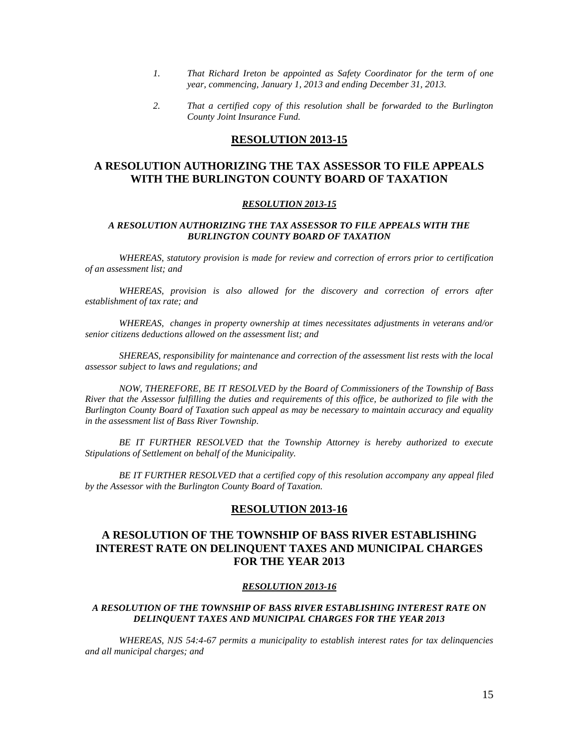- *1. That Richard Ireton be appointed as Safety Coordinator for the term of one year, commencing, January 1, 2013 and ending December 31, 2013.*
- *2. That a certified copy of this resolution shall be forwarded to the Burlington County Joint Insurance Fund.*

# **A RESOLUTION AUTHORIZING THE TAX ASSESSOR TO FILE APPEALS WITH THE BURLINGTON COUNTY BOARD OF TAXATION**

#### *RESOLUTION 2013-15*

### *A RESOLUTION AUTHORIZING THE TAX ASSESSOR TO FILE APPEALS WITH THE BURLINGTON COUNTY BOARD OF TAXATION*

*WHEREAS, statutory provision is made for review and correction of errors prior to certification of an assessment list; and*

*WHEREAS, provision is also allowed for the discovery and correction of errors after establishment of tax rate; and*

*WHEREAS, changes in property ownership at times necessitates adjustments in veterans and/or senior citizens deductions allowed on the assessment list; and*

*SHEREAS, responsibility for maintenance and correction of the assessment list rests with the local assessor subject to laws and regulations; and*

*NOW, THEREFORE, BE IT RESOLVED by the Board of Commissioners of the Township of Bass River that the Assessor fulfilling the duties and requirements of this office, be authorized to file with the Burlington County Board of Taxation such appeal as may be necessary to maintain accuracy and equality in the assessment list of Bass River Township.*

*BE IT FURTHER RESOLVED that the Township Attorney is hereby authorized to execute Stipulations of Settlement on behalf of the Municipality.*

*BE IT FURTHER RESOLVED that a certified copy of this resolution accompany any appeal filed by the Assessor with the Burlington County Board of Taxation.*

## **RESOLUTION 2013-16**

# **A RESOLUTION OF THE TOWNSHIP OF BASS RIVER ESTABLISHING INTEREST RATE ON DELINQUENT TAXES AND MUNICIPAL CHARGES FOR THE YEAR 2013**

#### *RESOLUTION 2013-16*

### *A RESOLUTION OF THE TOWNSHIP OF BASS RIVER ESTABLISHING INTEREST RATE ON DELINQUENT TAXES AND MUNICIPAL CHARGES FOR THE YEAR 2013*

*WHEREAS, NJS 54:4-67 permits a municipality to establish interest rates for tax delinquencies and all municipal charges; and*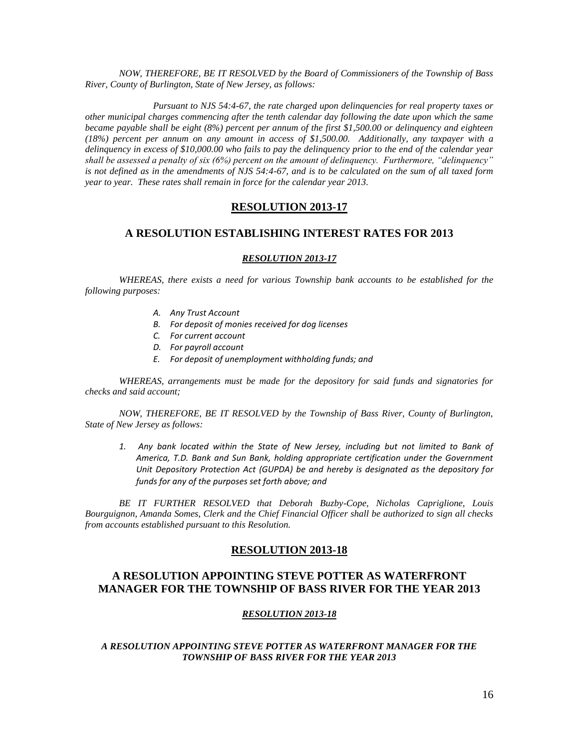*NOW, THEREFORE, BE IT RESOLVED by the Board of Commissioners of the Township of Bass River, County of Burlington, State of New Jersey, as follows:*

*Pursuant to NJS 54:4-67, the rate charged upon delinquencies for real property taxes or other municipal charges commencing after the tenth calendar day following the date upon which the same became payable shall be eight (8%) percent per annum of the first \$1,500.00 or delinquency and eighteen (18%) percent per annum on any amount in access of \$1,500.00. Additionally, any taxpayer with a delinquency in excess of \$10,000.00 who fails to pay the delinquency prior to the end of the calendar year shall be assessed a penalty of six (6%) percent on the amount of delinquency. Furthermore, "delinquency" is not defined as in the amendments of NJS 54:4-67, and is to be calculated on the sum of all taxed form year to year. These rates shall remain in force for the calendar year 2013.*

## **RESOLUTION 2013-17**

## **A RESOLUTION ESTABLISHING INTEREST RATES FOR 2013**

#### *RESOLUTION 2013-17*

*WHEREAS, there exists a need for various Township bank accounts to be established for the following purposes:*

- *A. Any Trust Account*
- *B. For deposit of monies received for dog licenses*
- *C. For current account*
- *D. For payroll account*
- *E. For deposit of unemployment withholding funds; and*

*WHEREAS, arrangements must be made for the depository for said funds and signatories for checks and said account;*

*NOW, THEREFORE, BE IT RESOLVED by the Township of Bass River, County of Burlington, State of New Jersey as follows:*

*1. Any bank located within the State of New Jersey, including but not limited to Bank of America, T.D. Bank and Sun Bank, holding appropriate certification under the Government Unit Depository Protection Act (GUPDA) be and hereby is designated as the depository for funds for any of the purposes set forth above; and*

*BE IT FURTHER RESOLVED that Deborah Buzby-Cope, Nicholas Capriglione, Louis Bourguignon, Amanda Somes, Clerk and the Chief Financial Officer shall be authorized to sign all checks from accounts established pursuant to this Resolution.*

### **RESOLUTION 2013-18**

## **A RESOLUTION APPOINTING STEVE POTTER AS WATERFRONT MANAGER FOR THE TOWNSHIP OF BASS RIVER FOR THE YEAR 2013**

#### *RESOLUTION 2013-18*

### *A RESOLUTION APPOINTING STEVE POTTER AS WATERFRONT MANAGER FOR THE TOWNSHIP OF BASS RIVER FOR THE YEAR 2013*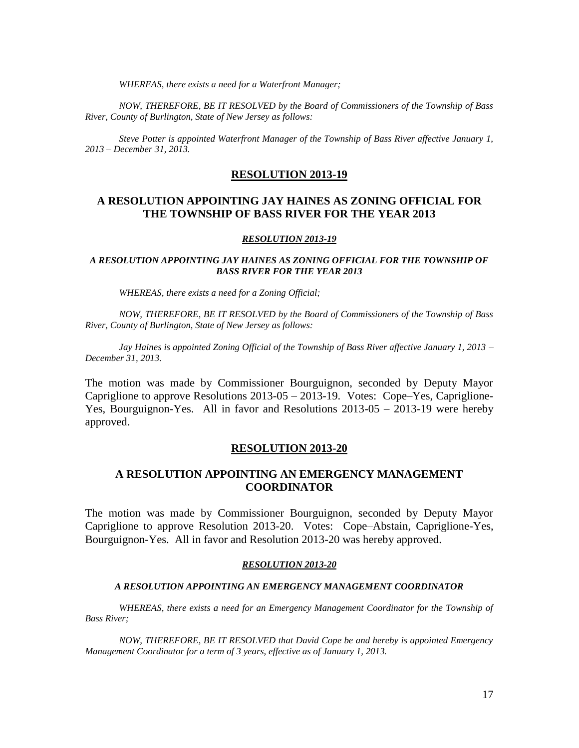*WHEREAS, there exists a need for a Waterfront Manager;*

*NOW, THEREFORE, BE IT RESOLVED by the Board of Commissioners of the Township of Bass River, County of Burlington, State of New Jersey as follows:*

*Steve Potter is appointed Waterfront Manager of the Township of Bass River affective January 1, 2013 – December 31, 2013.*

#### **RESOLUTION 2013-19**

## **A RESOLUTION APPOINTING JAY HAINES AS ZONING OFFICIAL FOR THE TOWNSHIP OF BASS RIVER FOR THE YEAR 2013**

#### *RESOLUTION 2013-19*

### *A RESOLUTION APPOINTING JAY HAINES AS ZONING OFFICIAL FOR THE TOWNSHIP OF BASS RIVER FOR THE YEAR 2013*

*WHEREAS, there exists a need for a Zoning Official;*

*NOW, THEREFORE, BE IT RESOLVED by the Board of Commissioners of the Township of Bass River, County of Burlington, State of New Jersey as follows:*

*Jay Haines is appointed Zoning Official of the Township of Bass River affective January 1, 2013 – December 31, 2013.*

The motion was made by Commissioner Bourguignon, seconded by Deputy Mayor Capriglione to approve Resolutions 2013-05 – 2013-19. Votes: Cope–Yes, Capriglione-Yes, Bourguignon-Yes. All in favor and Resolutions 2013-05 – 2013-19 were hereby approved.

## **RESOLUTION 2013-20**

## **A RESOLUTION APPOINTING AN EMERGENCY MANAGEMENT COORDINATOR**

The motion was made by Commissioner Bourguignon, seconded by Deputy Mayor Capriglione to approve Resolution 2013-20. Votes: Cope–Abstain, Capriglione-Yes, Bourguignon-Yes. All in favor and Resolution 2013-20 was hereby approved.

#### *RESOLUTION 2013-20*

#### *A RESOLUTION APPOINTING AN EMERGENCY MANAGEMENT COORDINATOR*

*WHEREAS, there exists a need for an Emergency Management Coordinator for the Township of Bass River;*

*NOW, THEREFORE, BE IT RESOLVED that David Cope be and hereby is appointed Emergency Management Coordinator for a term of 3 years, effective as of January 1, 2013.*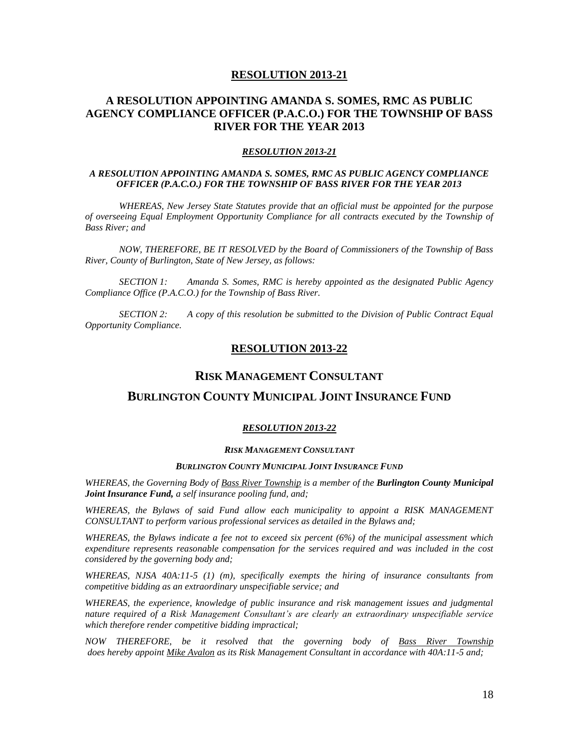# **A RESOLUTION APPOINTING AMANDA S. SOMES, RMC AS PUBLIC AGENCY COMPLIANCE OFFICER (P.A.C.O.) FOR THE TOWNSHIP OF BASS RIVER FOR THE YEAR 2013**

#### *RESOLUTION 2013-21*

### *A RESOLUTION APPOINTING AMANDA S. SOMES, RMC AS PUBLIC AGENCY COMPLIANCE OFFICER (P.A.C.O.) FOR THE TOWNSHIP OF BASS RIVER FOR THE YEAR 2013*

*WHEREAS, New Jersey State Statutes provide that an official must be appointed for the purpose of overseeing Equal Employment Opportunity Compliance for all contracts executed by the Township of Bass River; and*

*NOW, THEREFORE, BE IT RESOLVED by the Board of Commissioners of the Township of Bass River, County of Burlington, State of New Jersey, as follows:*

*SECTION 1: Amanda S. Somes, RMC is hereby appointed as the designated Public Agency Compliance Office (P.A.C.O.) for the Township of Bass River.*

*SECTION 2: A copy of this resolution be submitted to the Division of Public Contract Equal Opportunity Compliance.*

## **RESOLUTION 2013-22**

# **RISK MANAGEMENT CONSULTANT**

## **BURLINGTON COUNTY MUNICIPAL JOINT INSURANCE FUND**

#### *RESOLUTION 2013-22*

#### *RISK MANAGEMENT CONSULTANT*

#### *BURLINGTON COUNTY MUNICIPAL JOINT INSURANCE FUND*

*WHEREAS, the Governing Body of Bass River Township is a member of the Burlington County Municipal Joint Insurance Fund, a self insurance pooling fund, and;*

*WHEREAS, the Bylaws of said Fund allow each municipality to appoint a RISK MANAGEMENT CONSULTANT to perform various professional services as detailed in the Bylaws and;*

*WHEREAS, the Bylaws indicate a fee not to exceed six percent (6%) of the municipal assessment which expenditure represents reasonable compensation for the services required and was included in the cost considered by the governing body and;*

*WHEREAS, NJSA 40A:11-5 (1) (m), specifically exempts the hiring of insurance consultants from competitive bidding as an extraordinary unspecifiable service; and*

*WHEREAS, the experience, knowledge of public insurance and risk management issues and judgmental nature required of a Risk Management Consultant's are clearly an extraordinary unspecifiable service which therefore render competitive bidding impractical;*

*NOW THEREFORE, be it resolved that the governing body of Bass River Township does hereby appoint Mike Avalon as its Risk Management Consultant in accordance with 40A:11-5 and;*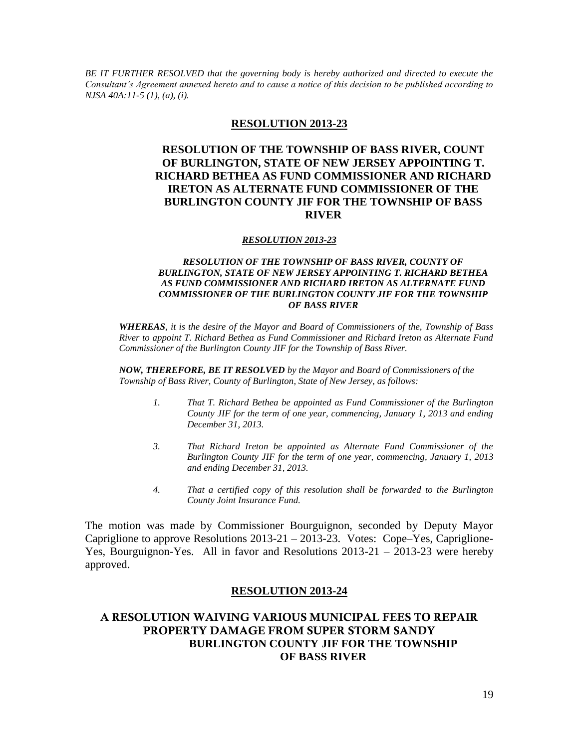*BE IT FURTHER RESOLVED that the governing body is hereby authorized and directed to execute the Consultant's Agreement annexed hereto and to cause a notice of this decision to be published according to NJSA 40A:11-5 (1), (a), (i).*

## **RESOLUTION 2013-23**

# **RESOLUTION OF THE TOWNSHIP OF BASS RIVER, COUNT OF BURLINGTON, STATE OF NEW JERSEY APPOINTING T. RICHARD BETHEA AS FUND COMMISSIONER AND RICHARD IRETON AS ALTERNATE FUND COMMISSIONER OF THE BURLINGTON COUNTY JIF FOR THE TOWNSHIP OF BASS RIVER**

### *RESOLUTION 2013-23*

### *RESOLUTION OF THE TOWNSHIP OF BASS RIVER, COUNTY OF BURLINGTON, STATE OF NEW JERSEY APPOINTING T. RICHARD BETHEA AS FUND COMMISSIONER AND RICHARD IRETON AS ALTERNATE FUND COMMISSIONER OF THE BURLINGTON COUNTY JIF FOR THE TOWNSHIP OF BASS RIVER*

*WHEREAS, it is the desire of the Mayor and Board of Commissioners of the, Township of Bass River to appoint T. Richard Bethea as Fund Commissioner and Richard Ireton as Alternate Fund Commissioner of the Burlington County JIF for the Township of Bass River.*

*NOW, THEREFORE, BE IT RESOLVED by the Mayor and Board of Commissioners of the Township of Bass River, County of Burlington, State of New Jersey, as follows:*

- *1. That T. Richard Bethea be appointed as Fund Commissioner of the Burlington County JIF for the term of one year, commencing, January 1, 2013 and ending December 31, 2013.*
- *3. That Richard Ireton be appointed as Alternate Fund Commissioner of the Burlington County JIF for the term of one year, commencing, January 1, 2013 and ending December 31, 2013.*
- *4. That a certified copy of this resolution shall be forwarded to the Burlington County Joint Insurance Fund.*

The motion was made by Commissioner Bourguignon, seconded by Deputy Mayor Capriglione to approve Resolutions 2013-21 – 2013-23. Votes: Cope–Yes, Capriglione-Yes, Bourguignon-Yes. All in favor and Resolutions 2013-21 – 2013-23 were hereby approved.

## **RESOLUTION 2013-24**

# **A RESOLUTION WAIVING VARIOUS MUNICIPAL FEES TO REPAIR PROPERTY DAMAGE FROM SUPER STORM SANDY BURLINGTON COUNTY JIF FOR THE TOWNSHIP OF BASS RIVER**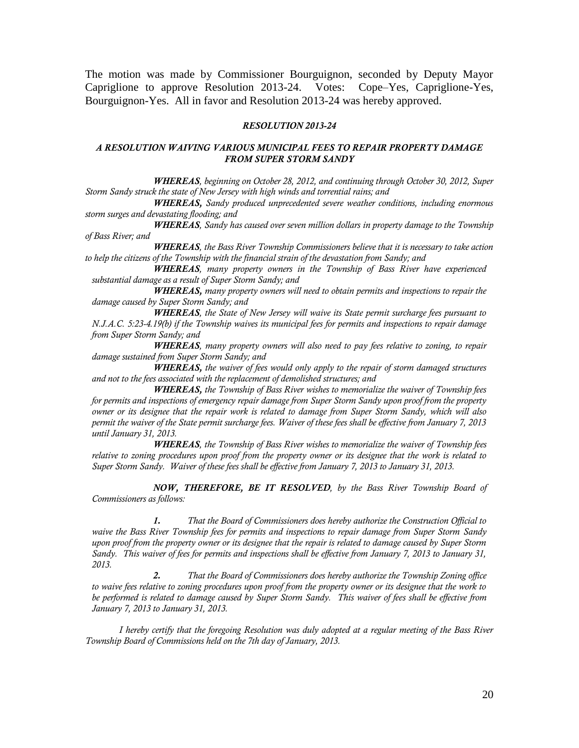The motion was made by Commissioner Bourguignon, seconded by Deputy Mayor Capriglione to approve Resolution 2013-24. Votes: Cope–Yes, Capriglione-Yes, Bourguignon-Yes. All in favor and Resolution 2013-24 was hereby approved.

#### *RESOLUTION 2013-24*

#### *A RESOLUTION WAIVING VARIOUS MUNICIPAL FEES TO REPAIR PROPERTY DAMAGE FROM SUPER STORM SANDY*

*WHEREAS, beginning on October 28, 2012, and continuing through October 30, 2012, Super Storm Sandy struck the state of New Jersey with high winds and torrential rains; and*

*WHEREAS, Sandy produced unprecedented severe weather conditions, including enormous storm surges and devastating flooding; and*

*WHEREAS, Sandy has caused over seven million dollars in property damage to the Township of Bass River; and* 

*WHEREAS, the Bass River Township Commissioners believe that it is necessary to take action to help the citizens of the Township with the financial strain of the devastation from Sandy; and*

*WHEREAS, many property owners in the Township of Bass River have experienced substantial damage as a result of Super Storm Sandy; and* 

*WHEREAS, many property owners will need to obtain permits and inspections to repair the damage caused by Super Storm Sandy; and*

*WHEREAS, the State of New Jersey will waive its State permit surcharge fees pursuant to N.J.A.C. 5:23-4.19(b) if the Township waives its municipal fees for permits and inspections to repair damage from Super Storm Sandy; and* 

*WHEREAS, many property owners will also need to pay fees relative to zoning, to repair damage sustained from Super Storm Sandy; and* 

*WHEREAS, the waiver of fees would only apply to the repair of storm damaged structures and not to the fees associated with the replacement of demolished structures; and*

*WHEREAS, the Township of Bass River wishes to memorialize the waiver of Township fees for permits and inspections of emergency repair damage from Super Storm Sandy upon proof from the property owner or its designee that the repair work is related to damage from Super Storm Sandy, which will also permit the waiver of the State permit surcharge fees. Waiver of these fees shall be effective from January 7, 2013 until January 31, 2013.*

*WHEREAS, the Township of Bass River wishes to memorialize the waiver of Township fees relative to zoning procedures upon proof from the property owner or its designee that the work is related to Super Storm Sandy. Waiver of these fees shall be effective from January 7, 2013 to January 31, 2013.*

*NOW, THEREFORE, BE IT RESOLVED, by the Bass River Township Board of Commissioners as follows:*

*1. That the Board of Commissioners does hereby authorize the Construction Official to waive the Bass River Township fees for permits and inspections to repair damage from Super Storm Sandy upon proof from the property owner or its designee that the repair is related to damage caused by Super Storm Sandy. This waiver of fees for permits and inspections shall be effective from January 7, 2013 to January 31, 2013.*

*2. That the Board of Commissioners does hereby authorize the Township Zoning office to waive fees relative to zoning procedures upon proof from the property owner or its designee that the work to be performed is related to damage caused by Super Storm Sandy. This waiver of fees shall be effective from January 7, 2013 to January 31, 2013.* 

*I hereby certify that the foregoing Resolution was duly adopted at a regular meeting of the Bass River Township Board of Commissions held on the 7th day of January, 2013.*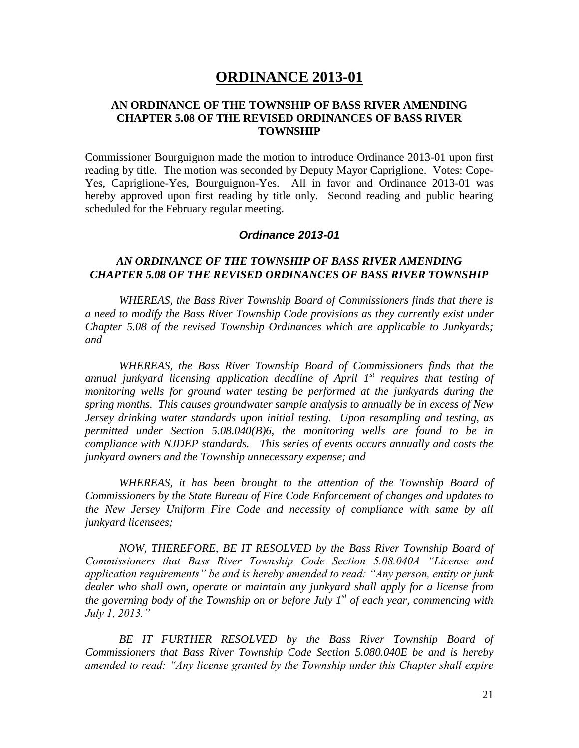# **ORDINANCE 2013-01**

## **AN ORDINANCE OF THE TOWNSHIP OF BASS RIVER AMENDING CHAPTER 5.08 OF THE REVISED ORDINANCES OF BASS RIVER TOWNSHIP**

Commissioner Bourguignon made the motion to introduce Ordinance 2013-01 upon first reading by title. The motion was seconded by Deputy Mayor Capriglione. Votes: Cope-Yes, Capriglione-Yes, Bourguignon-Yes. All in favor and Ordinance 2013-01 was hereby approved upon first reading by title only. Second reading and public hearing scheduled for the February regular meeting.

# *Ordinance 2013-01*

# *AN ORDINANCE OF THE TOWNSHIP OF BASS RIVER AMENDING CHAPTER 5.08 OF THE REVISED ORDINANCES OF BASS RIVER TOWNSHIP*

*WHEREAS, the Bass River Township Board of Commissioners finds that there is a need to modify the Bass River Township Code provisions as they currently exist under Chapter 5.08 of the revised Township Ordinances which are applicable to Junkyards; and*

*WHEREAS, the Bass River Township Board of Commissioners finds that the annual junkyard licensing application deadline of April 1st requires that testing of monitoring wells for ground water testing be performed at the junkyards during the spring months. This causes groundwater sample analysis to annually be in excess of New Jersey drinking water standards upon initial testing. Upon resampling and testing, as permitted under Section 5.08.040(B)6, the monitoring wells are found to be in compliance with NJDEP standards. This series of events occurs annually and costs the junkyard owners and the Township unnecessary expense; and*

*WHEREAS, it has been brought to the attention of the Township Board of Commissioners by the State Bureau of Fire Code Enforcement of changes and updates to the New Jersey Uniform Fire Code and necessity of compliance with same by all junkyard licensees;*

*NOW, THEREFORE, BE IT RESOLVED by the Bass River Township Board of Commissioners that Bass River Township Code Section 5.08.040A "License and application requirements" be and is hereby amended to read: "Any person, entity or junk dealer who shall own, operate or maintain any junkyard shall apply for a license from the governing body of the Township on or before July 1st of each year, commencing with July 1, 2013."*

*BE IT FURTHER RESOLVED by the Bass River Township Board of Commissioners that Bass River Township Code Section 5.080.040E be and is hereby amended to read: "Any license granted by the Township under this Chapter shall expire*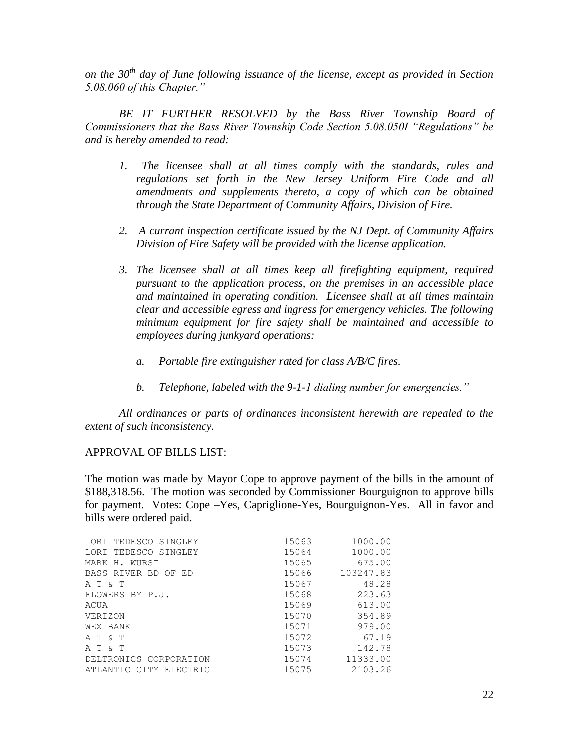*on the 30th day of June following issuance of the license, except as provided in Section 5.08.060 of this Chapter."* 

*BE IT FURTHER RESOLVED by the Bass River Township Board of Commissioners that the Bass River Township Code Section 5.08.050I "Regulations" be and is hereby amended to read:* 

- *1. The licensee shall at all times comply with the standards, rules and regulations set forth in the New Jersey Uniform Fire Code and all amendments and supplements thereto, a copy of which can be obtained through the State Department of Community Affairs, Division of Fire.*
- *2. A currant inspection certificate issued by the NJ Dept. of Community Affairs Division of Fire Safety will be provided with the license application.*
- *3. The licensee shall at all times keep all firefighting equipment, required pursuant to the application process, on the premises in an accessible place and maintained in operating condition. Licensee shall at all times maintain clear and accessible egress and ingress for emergency vehicles. The following minimum equipment for fire safety shall be maintained and accessible to employees during junkyard operations:*
	- *a. Portable fire extinguisher rated for class A/B/C fires.*
	- *b. Telephone, labeled with the 9-1-1 dialing number for emergencies."*

*All ordinances or parts of ordinances inconsistent herewith are repealed to the extent of such inconsistency.*

# APPROVAL OF BILLS LIST:

The motion was made by Mayor Cope to approve payment of the bills in the amount of \$188,318.56. The motion was seconded by Commissioner Bourguignon to approve bills for payment. Votes: Cope –Yes, Capriglione-Yes, Bourguignon-Yes. All in favor and bills were ordered paid.

| LORI TEDESCO SINGLEY   | 15063 | 1000.00   |
|------------------------|-------|-----------|
| LORI TEDESCO SINGLEY   | 15064 | 1000.00   |
| MARK H. WURST          | 15065 | 675.00    |
| BASS RIVER BD OF ED    | 15066 | 103247.83 |
| A T & T                | 15067 | 48.28     |
| FLOWERS BY P.J.        | 15068 | 223.63    |
| ACUA                   | 15069 | 613.00    |
| VERIZON                | 15070 | 354.89    |
| WEX BANK               | 15071 | 979.00    |
| A T & T                | 15072 | 67.19     |
| A T & T                | 15073 | 142.78    |
| DELTRONICS CORPORATION | 15074 | 11333.00  |
| ATLANTIC CITY ELECTRIC | 15075 | 2103.26   |
|                        |       |           |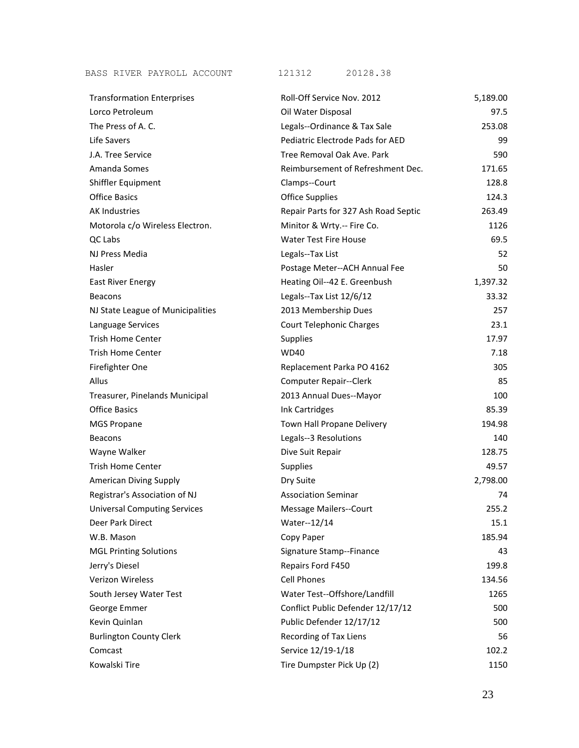BASS RIVER PAYROLL ACCOUNT 121312 20128.38

| <b>Transformation Enterprises</b>   | Roll-Off Service Nov. 2012           | 5,189.00 |
|-------------------------------------|--------------------------------------|----------|
| Lorco Petroleum                     | Oil Water Disposal                   | 97.5     |
| The Press of A.C.                   | Legals--Ordinance & Tax Sale         | 253.08   |
| Life Savers                         | Pediatric Electrode Pads for AED     | 99       |
| J.A. Tree Service                   | Tree Removal Oak Ave. Park           | 590      |
| Amanda Somes                        | Reimbursement of Refreshment Dec.    | 171.65   |
| Shiffler Equipment                  | Clamps--Court                        | 128.8    |
| <b>Office Basics</b>                | <b>Office Supplies</b>               | 124.3    |
| <b>AK Industries</b>                | Repair Parts for 327 Ash Road Septic | 263.49   |
| Motorola c/o Wireless Electron.     | Minitor & Wrty.-- Fire Co.           | 1126     |
| QC Labs                             | <b>Water Test Fire House</b>         | 69.5     |
| NJ Press Media                      | Legals--Tax List                     | 52       |
| Hasler                              | Postage Meter--ACH Annual Fee        | 50       |
| <b>East River Energy</b>            | Heating Oil--42 E. Greenbush         | 1,397.32 |
| <b>Beacons</b>                      | Legals--Tax List 12/6/12             | 33.32    |
| NJ State League of Municipalities   | 2013 Membership Dues                 | 257      |
| Language Services                   | <b>Court Telephonic Charges</b>      | 23.1     |
| <b>Trish Home Center</b>            | <b>Supplies</b>                      | 17.97    |
| <b>Trish Home Center</b>            | <b>WD40</b>                          | 7.18     |
| Firefighter One                     | Replacement Parka PO 4162            | 305      |
| Allus                               | <b>Computer Repair--Clerk</b>        | 85       |
| Treasurer, Pinelands Municipal      | 2013 Annual Dues--Mayor              | 100      |
| <b>Office Basics</b>                | Ink Cartridges                       | 85.39    |
| <b>MGS Propane</b>                  | Town Hall Propane Delivery           | 194.98   |
| <b>Beacons</b>                      | Legals--3 Resolutions                | 140      |
| Wayne Walker                        | Dive Suit Repair                     | 128.75   |
| <b>Trish Home Center</b>            | <b>Supplies</b>                      | 49.57    |
| <b>American Diving Supply</b>       | Dry Suite                            | 2,798.00 |
| Registrar's Association of NJ       | <b>Association Seminar</b>           | 74       |
| <b>Universal Computing Services</b> | <b>Message Mailers--Court</b>        | 255.2    |
| Deer Park Direct                    | Water--12/14                         | 15.1     |
| W.B. Mason                          | Copy Paper                           | 185.94   |
| <b>MGL Printing Solutions</b>       | Signature Stamp--Finance             | 43       |
| Jerry's Diesel                      | Repairs Ford F450                    | 199.8    |
| <b>Verizon Wireless</b>             | <b>Cell Phones</b>                   | 134.56   |
| South Jersey Water Test             | Water Test--Offshore/Landfill        | 1265     |
| George Emmer                        | Conflict Public Defender 12/17/12    | 500      |
| Kevin Quinlan                       | Public Defender 12/17/12             | 500      |
| <b>Burlington County Clerk</b>      | Recording of Tax Liens               | 56       |
| Comcast                             | Service 12/19-1/18                   | 102.2    |
| Kowalski Tire                       | Tire Dumpster Pick Up (2)            | 1150     |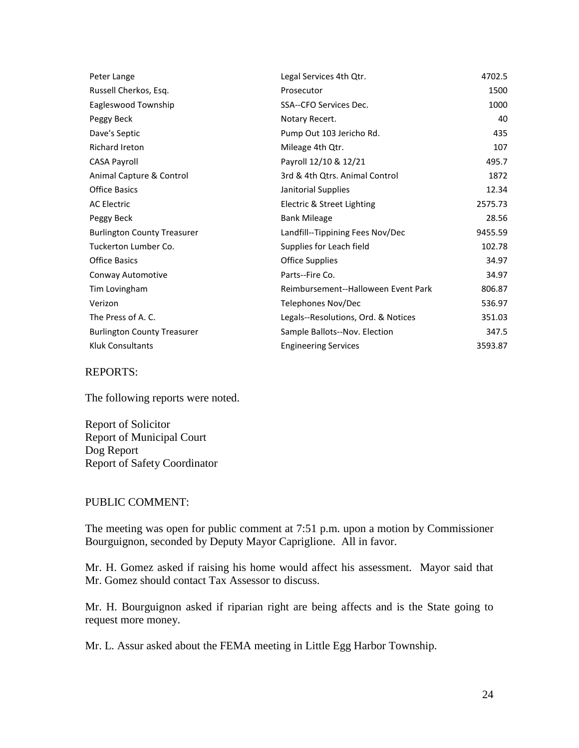| Peter Lange                        | Legal Services 4th Qtr.             | 4702.5  |
|------------------------------------|-------------------------------------|---------|
| Russell Cherkos, Esq.              | Prosecutor                          | 1500    |
| Eagleswood Township                | SSA--CFO Services Dec.              | 1000    |
| Peggy Beck                         | Notary Recert.                      | 40      |
| Dave's Septic                      | Pump Out 103 Jericho Rd.            | 435     |
| Richard Ireton                     | Mileage 4th Qtr.                    | 107     |
| <b>CASA Payroll</b>                | Payroll 12/10 & 12/21               | 495.7   |
| Animal Capture & Control           | 3rd & 4th Qtrs. Animal Control      | 1872    |
| <b>Office Basics</b>               | Janitorial Supplies                 | 12.34   |
| <b>AC Electric</b>                 | Electric & Street Lighting          | 2575.73 |
| Peggy Beck                         | <b>Bank Mileage</b>                 | 28.56   |
| <b>Burlington County Treasurer</b> | Landfill--Tippining Fees Nov/Dec    | 9455.59 |
| Tuckerton Lumber Co.               | Supplies for Leach field            | 102.78  |
| <b>Office Basics</b>               | <b>Office Supplies</b>              | 34.97   |
| Conway Automotive                  | Parts--Fire Co.                     | 34.97   |
| Tim Lovingham                      | Reimbursement--Halloween Event Park | 806.87  |
| Verizon                            | Telephones Nov/Dec                  | 536.97  |
| The Press of A. C.                 | Legals--Resolutions, Ord. & Notices | 351.03  |
| <b>Burlington County Treasurer</b> | Sample Ballots--Nov. Election       | 347.5   |
| <b>Kluk Consultants</b>            | <b>Engineering Services</b>         | 3593.87 |

REPORTS:

The following reports were noted.

Report of Solicitor Report of Municipal Court Dog Report Report of Safety Coordinator

## PUBLIC COMMENT:

The meeting was open for public comment at 7:51 p.m. upon a motion by Commissioner Bourguignon, seconded by Deputy Mayor Capriglione. All in favor.

Mr. H. Gomez asked if raising his home would affect his assessment. Mayor said that Mr. Gomez should contact Tax Assessor to discuss.

Mr. H. Bourguignon asked if riparian right are being affects and is the State going to request more money.

Mr. L. Assur asked about the FEMA meeting in Little Egg Harbor Township.